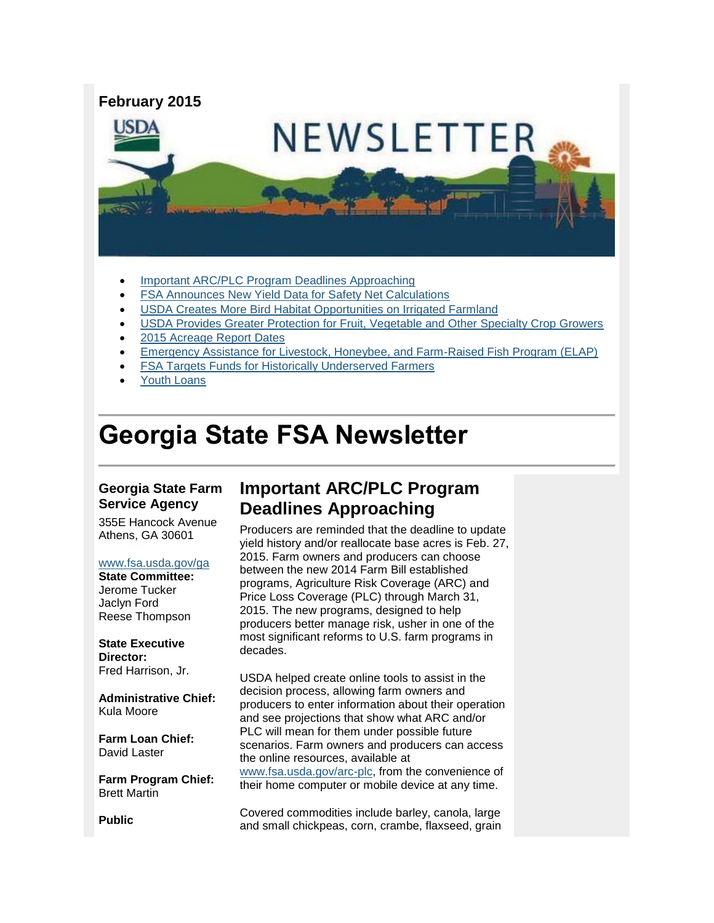

- [Important ARC/PLC Program Deadlines Approaching](#page-0-0)
- [FSA Announces New Yield Data for Safety Net Calculations](#page-1-0)
- [USDA Creates More Bird Habitat Opportunities on Irrigated Farmland](#page-2-0)
- [USDA Provides Greater Protection for Fruit, Vegetable and Other Specialty Crop Growers](#page-2-1)
- [2015 Acreage Report Dates](#page-3-0)
- [Emergency Assistance for Livestock, Honeybee, and Farm-Raised Fish Program \(ELAP\)](#page-4-0)
- [FSA Targets Funds for Historically Underserved Farmers](#page-5-0)
- [Youth Loans](#page-5-1)

# **Georgia State FSA Newsletter**

#### **Georgia State Farm Service Agency**

355E Hancock Avenue Athens, GA 30601

#### [www.fsa.usda.gov/ga](http://www.fsa.usda.gov/ga)

**State Committee:** Jerome Tucker Jaclyn Ford Reese Thompson

**State Executive Director:** Fred Harrison, Jr.

**Administrative Chief:** Kula Moore

**Farm Loan Chief:** David Laster

**Farm Program Chief:** Brett Martin

**Public** 

## <span id="page-0-0"></span>**Important ARC/PLC Program Deadlines Approaching**

Producers are reminded that the deadline to update yield history and/or reallocate base acres is Feb. 27, 2015. Farm owners and producers can choose between the new 2014 Farm Bill established programs, Agriculture Risk Coverage (ARC) and Price Loss Coverage (PLC) through March 31, 2015. The new programs, designed to help producers better manage risk, usher in one of the most significant reforms to U.S. farm programs in decades.

USDA helped create online tools to assist in the decision process, allowing farm owners and producers to enter information about their operation and see projections that show what ARC and/or PLC will mean for them under possible future scenarios. Farm owners and producers can access the online resources, available at [www.fsa.usda.gov/arc-plc,](http://www.fsa.usda.gov/arc-plc) from the convenience of their home computer or mobile device at any time.

Covered commodities include barley, canola, large and small chickpeas, corn, crambe, flaxseed, grain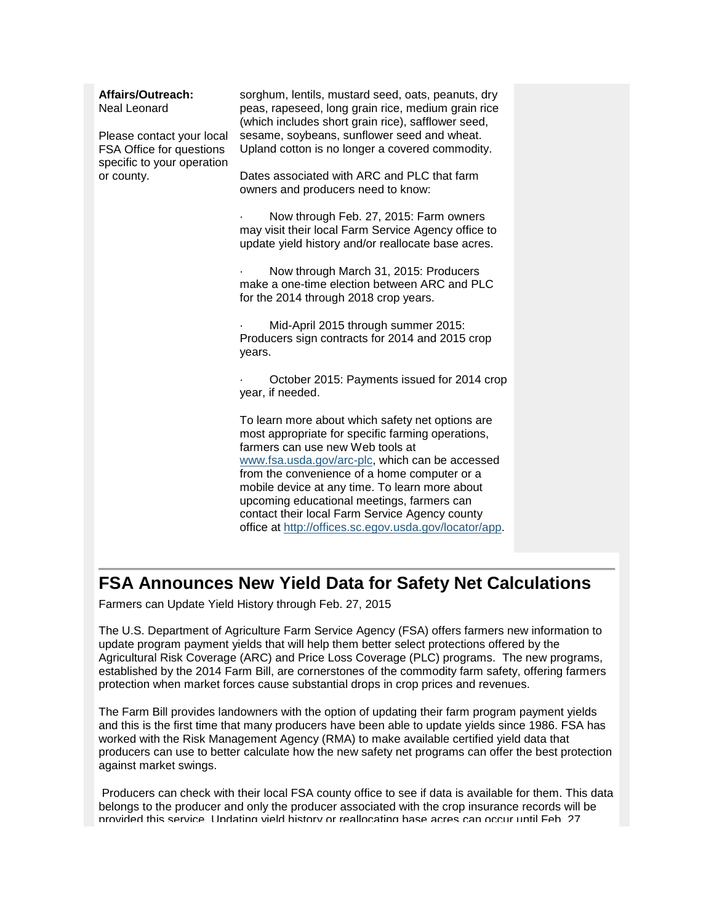| Affairs/Outreach:<br>Neal Leonard<br>Please contact your local<br>FSA Office for questions<br>specific to your operation<br>or county. | sorghum, lentils, mustard seed, oats, peanuts, dry<br>peas, rapeseed, long grain rice, medium grain rice<br>(which includes short grain rice), safflower seed,<br>sesame, soybeans, sunflower seed and wheat.<br>Upland cotton is no longer a covered commodity.                                                                                                                                                                                         |  |
|----------------------------------------------------------------------------------------------------------------------------------------|----------------------------------------------------------------------------------------------------------------------------------------------------------------------------------------------------------------------------------------------------------------------------------------------------------------------------------------------------------------------------------------------------------------------------------------------------------|--|
|                                                                                                                                        | Dates associated with ARC and PLC that farm<br>owners and producers need to know:                                                                                                                                                                                                                                                                                                                                                                        |  |
|                                                                                                                                        | Now through Feb. 27, 2015: Farm owners<br>may visit their local Farm Service Agency office to<br>update yield history and/or reallocate base acres.                                                                                                                                                                                                                                                                                                      |  |
|                                                                                                                                        | Now through March 31, 2015: Producers<br>make a one-time election between ARC and PLC<br>for the 2014 through 2018 crop years.                                                                                                                                                                                                                                                                                                                           |  |
|                                                                                                                                        | Mid-April 2015 through summer 2015:<br>Producers sign contracts for 2014 and 2015 crop<br>years.                                                                                                                                                                                                                                                                                                                                                         |  |
|                                                                                                                                        | October 2015: Payments issued for 2014 crop<br>year, if needed.                                                                                                                                                                                                                                                                                                                                                                                          |  |
|                                                                                                                                        | To learn more about which safety net options are<br>most appropriate for specific farming operations,<br>farmers can use new Web tools at<br>www.fsa.usda.gov/arc-plc, which can be accessed<br>from the convenience of a home computer or a<br>mobile device at any time. To learn more about<br>upcoming educational meetings, farmers can<br>contact their local Farm Service Agency county<br>office at http://offices.sc.egov.usda.gov/locator/app. |  |
|                                                                                                                                        |                                                                                                                                                                                                                                                                                                                                                                                                                                                          |  |

### <span id="page-1-0"></span>**FSA Announces New Yield Data for Safety Net Calculations**

Farmers can Update Yield History through Feb. 27, 2015

The U.S. Department of Agriculture Farm Service Agency (FSA) offers farmers new information to update program payment yields that will help them better select protections offered by the Agricultural Risk Coverage (ARC) and Price Loss Coverage (PLC) programs. The new programs, established by the 2014 Farm Bill, are cornerstones of the commodity farm safety, offering farmers protection when market forces cause substantial drops in crop prices and revenues.

The Farm Bill provides landowners with the option of updating their farm program payment yields and this is the first time that many producers have been able to update yields since 1986. FSA has worked with the Risk Management Agency (RMA) to make available certified yield data that producers can use to better calculate how the new safety net programs can offer the best protection against market swings.

Producers can check with their local FSA county office to see if data is available for them. This data belongs to the producer and only the producer associated with the crop insurance records will be provided this service. Updating yield history or reallocating base acres can occur until Feb. 27,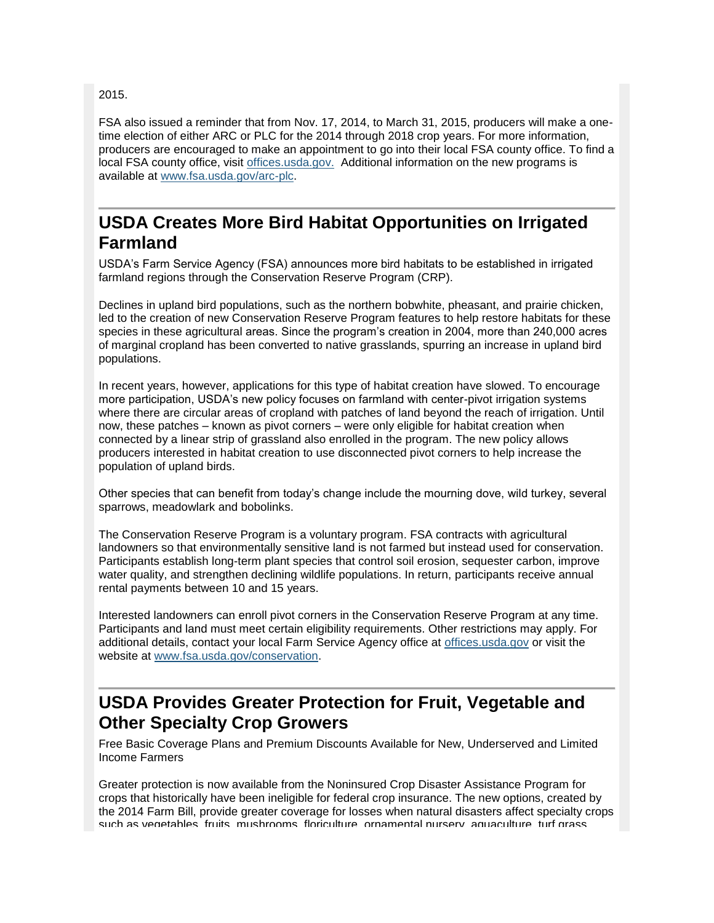2015.

FSA also issued a reminder that from Nov. 17, 2014, to March 31, 2015, producers will make a onetime election of either ARC or PLC for the 2014 through 2018 crop years. For more information, producers are encouraged to make an appointment to go into their local FSA county office. To find a local FSA county office, visit [offices.usda.gov.](http://offices.sc.egov.usda.gov/locator/app) Additional information on the new programs is available at [www.fsa.usda.gov/arc-plc.](http://www.fsa.usda.gov/arc-plc)

#### <span id="page-2-0"></span>**USDA Creates More Bird Habitat Opportunities on Irrigated Farmland**

USDA's Farm Service Agency (FSA) announces more bird habitats to be established in irrigated farmland regions through the Conservation Reserve Program (CRP).

Declines in upland bird populations, such as the northern bobwhite, pheasant, and prairie chicken, led to the creation of new Conservation Reserve Program features to help restore habitats for these species in these agricultural areas. Since the program's creation in 2004, more than 240,000 acres of marginal cropland has been converted to native grasslands, spurring an increase in upland bird populations.

In recent years, however, applications for this type of habitat creation have slowed. To encourage more participation, USDA's new policy focuses on farmland with center-pivot irrigation systems where there are circular areas of cropland with patches of land beyond the reach of irrigation. Until now, these patches – known as pivot corners – were only eligible for habitat creation when connected by a linear strip of grassland also enrolled in the program. The new policy allows producers interested in habitat creation to use disconnected pivot corners to help increase the population of upland birds.

Other species that can benefit from today's change include the mourning dove, wild turkey, several sparrows, meadowlark and bobolinks.

The Conservation Reserve Program is a voluntary program. FSA contracts with agricultural landowners so that environmentally sensitive land is not farmed but instead used for conservation. Participants establish long-term plant species that control soil erosion, sequester carbon, improve water quality, and strengthen declining wildlife populations. In return, participants receive annual rental payments between 10 and 15 years.

Interested landowners can enroll pivot corners in the Conservation Reserve Program at any time. Participants and land must meet certain eligibility requirements. Other restrictions may apply. For additional details, contact your local Farm Service Agency office at [offices.usda.gov](http://offices.usda.gov/) or visit the website at [www.fsa.usda.gov/conservation.](http://www.fsa.usda.gov/conservation)

### <span id="page-2-1"></span>**USDA Provides Greater Protection for Fruit, Vegetable and Other Specialty Crop Growers**

Free Basic Coverage Plans and Premium Discounts Available for New, Underserved and Limited Income Farmers

Greater protection is now available from the Noninsured Crop Disaster Assistance Program for crops that historically have been ineligible for federal crop insurance. The new options, created by the 2014 Farm Bill, provide greater coverage for losses when natural disasters affect specialty crops such as vegetables, fruits, mushrooms, floriculture, ornamental nursery, aquaculture, turf grass,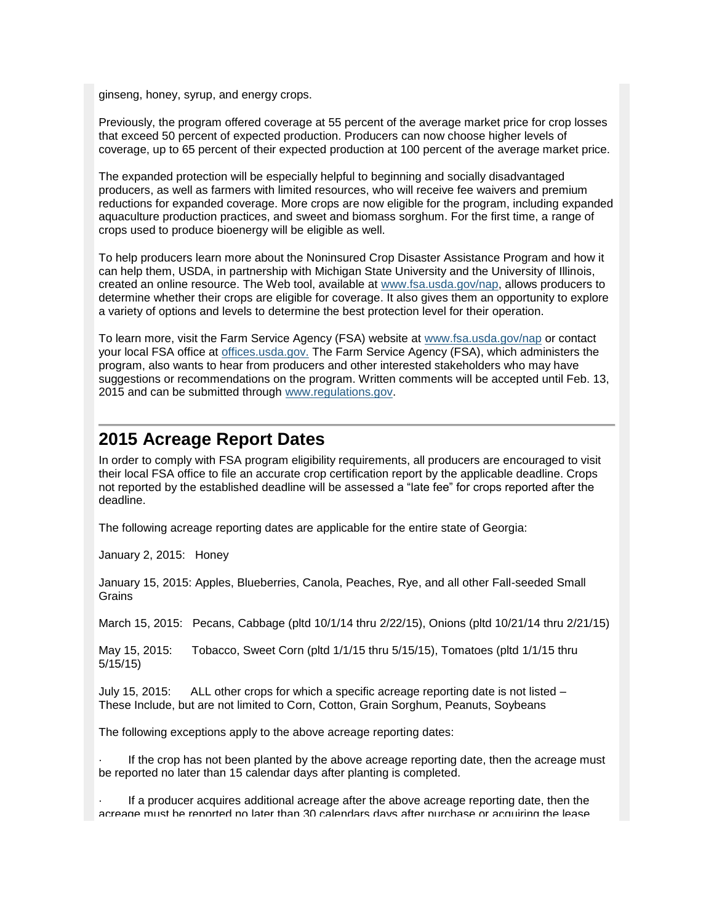ginseng, honey, syrup, and energy crops.

Previously, the program offered coverage at 55 percent of the average market price for crop losses that exceed 50 percent of expected production. Producers can now choose higher levels of coverage, up to 65 percent of their expected production at 100 percent of the average market price.

The expanded protection will be especially helpful to beginning and socially disadvantaged producers, as well as farmers with limited resources, who will receive fee waivers and premium reductions for expanded coverage. More crops are now eligible for the program, including expanded aquaculture production practices, and sweet and biomass sorghum. For the first time, a range of crops used to produce bioenergy will be eligible as well.

To help producers learn more about the Noninsured Crop Disaster Assistance Program and how it can help them, USDA, in partnership with Michigan State University and the University of Illinois, created an online resource. The Web tool, available at [www.fsa.usda.gov/nap,](http://www.fsa.usda.gov/nap) allows producers to determine whether their crops are eligible for coverage. It also gives them an opportunity to explore a variety of options and levels to determine the best protection level for their operation.

To learn more, visit the Farm Service Agency (FSA) website at [www.fsa.usda.gov/nap](http://www.fsa.usda.gov/nap) or contact your local FSA office at [offices.usda.gov.](http://offices.sc.egov.usda.gov/locator/app) The Farm Service Agency (FSA), which administers the program, also wants to hear from producers and other interested stakeholders who may have suggestions or recommendations on the program. Written comments will be accepted until Feb. 13, 2015 and can be submitted through [www.regulations.gov.](http://www.regulations.gov/)

#### <span id="page-3-0"></span>**2015 Acreage Report Dates**

In order to comply with FSA program eligibility requirements, all producers are encouraged to visit their local FSA office to file an accurate crop certification report by the applicable deadline. Crops not reported by the established deadline will be assessed a "late fee" for crops reported after the deadline.

The following acreage reporting dates are applicable for the entire state of Georgia:

January 2, 2015: Honey

January 15, 2015: Apples, Blueberries, Canola, Peaches, Rye, and all other Fall-seeded Small Grains

March 15, 2015: Pecans, Cabbage (pltd 10/1/14 thru 2/22/15), Onions (pltd 10/21/14 thru 2/21/15)

May 15, 2015: Tobacco, Sweet Corn (pltd 1/1/15 thru 5/15/15), Tomatoes (pltd 1/1/15 thru 5/15/15)

July 15, 2015: ALL other crops for which a specific acreage reporting date is not listed – These Include, but are not limited to Corn, Cotton, Grain Sorghum, Peanuts, Soybeans

The following exceptions apply to the above acreage reporting dates:

If the crop has not been planted by the above acreage reporting date, then the acreage must be reported no later than 15 calendar days after planting is completed.

If a producer acquires additional acreage after the above acreage reporting date, then the acreage must be reported no later than 30 calendars days after purchase or acquiring the lease.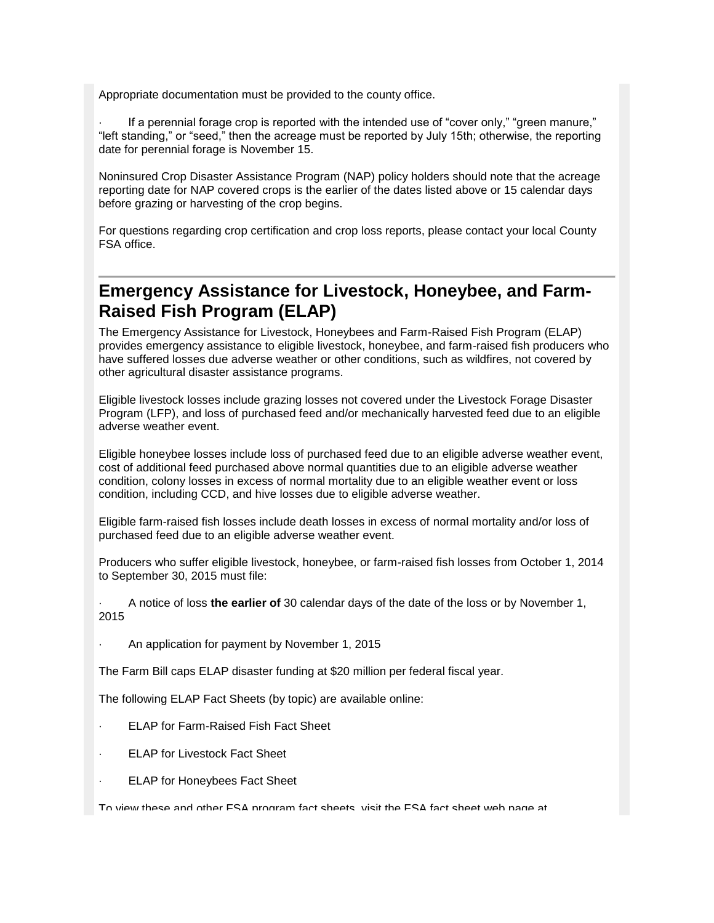Appropriate documentation must be provided to the county office.

If a perennial forage crop is reported with the intended use of "cover only," "green manure," "left standing," or "seed," then the acreage must be reported by July 15th; otherwise, the reporting date for perennial forage is November 15.

Noninsured Crop Disaster Assistance Program (NAP) policy holders should note that the acreage reporting date for NAP covered crops is the earlier of the dates listed above or 15 calendar days before grazing or harvesting of the crop begins.

For questions regarding crop certification and crop loss reports, please contact your local County FSA office.

#### <span id="page-4-0"></span>**Emergency Assistance for Livestock, Honeybee, and Farm-Raised Fish Program (ELAP)**

The Emergency Assistance for Livestock, Honeybees and Farm-Raised Fish Program (ELAP) provides emergency assistance to eligible livestock, honeybee, and farm-raised fish producers who have suffered losses due adverse weather or other conditions, such as wildfires, not covered by other agricultural disaster assistance programs.

Eligible livestock losses include grazing losses not covered under the Livestock Forage Disaster Program (LFP), and loss of purchased feed and/or mechanically harvested feed due to an eligible adverse weather event.

Eligible honeybee losses include loss of purchased feed due to an eligible adverse weather event, cost of additional feed purchased above normal quantities due to an eligible adverse weather condition, colony losses in excess of normal mortality due to an eligible weather event or loss condition, including CCD, and hive losses due to eligible adverse weather.

Eligible farm-raised fish losses include death losses in excess of normal mortality and/or loss of purchased feed due to an eligible adverse weather event.

Producers who suffer eligible livestock, honeybee, or farm-raised fish losses from October 1, 2014 to September 30, 2015 must file:

· A notice of loss **the earlier of** 30 calendar days of the date of the loss or by November 1, 2015

· An application for payment by November 1, 2015

The Farm Bill caps ELAP disaster funding at \$20 million per federal fiscal year.

The following ELAP Fact Sheets (by topic) are available online:

- **ELAP for Farm-Raised Fish Fact Sheet**
- **ELAP for Livestock Fact Sheet**
- **ELAP for Honeybees Fact Sheet**

To view these and other FSA program fact sheets, visit the FSA fact sheet web page at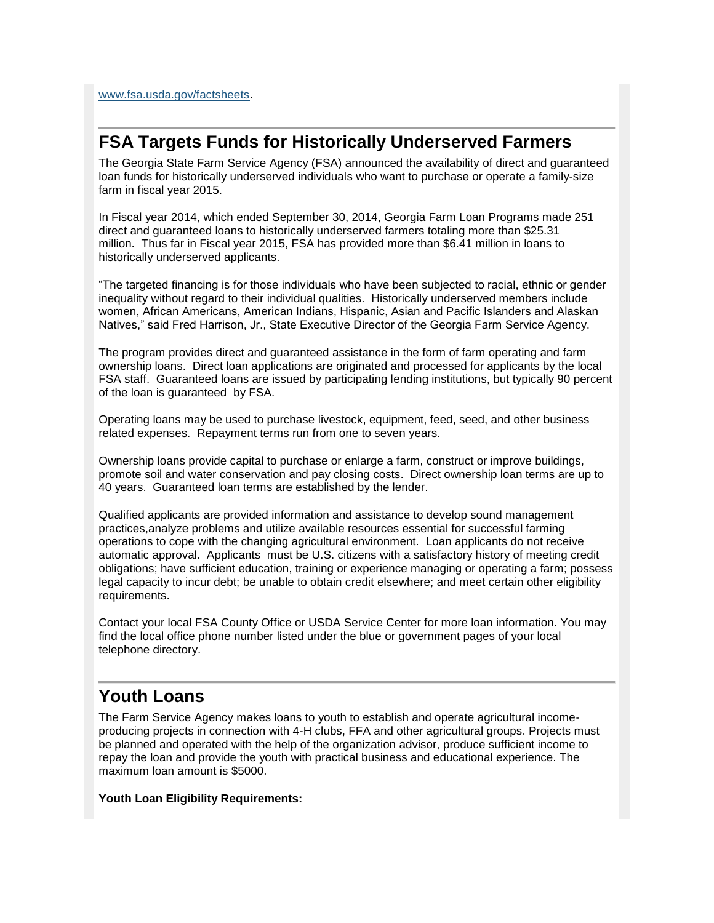[www.fsa.usda.gov/factsheets.](http://www.fsa.usda.gov/factsheets)

#### <span id="page-5-0"></span>**FSA Targets Funds for Historically Underserved Farmers**

The Georgia State Farm Service Agency (FSA) announced the availability of direct and guaranteed loan funds for historically underserved individuals who want to purchase or operate a family-size farm in fiscal year 2015.

In Fiscal year 2014, which ended September 30, 2014, Georgia Farm Loan Programs made 251 direct and guaranteed loans to historically underserved farmers totaling more than \$25.31 million. Thus far in Fiscal year 2015, FSA has provided more than \$6.41 million in loans to historically underserved applicants.

"The targeted financing is for those individuals who have been subjected to racial, ethnic or gender inequality without regard to their individual qualities. Historically underserved members include women, African Americans, American Indians, Hispanic, Asian and Pacific Islanders and Alaskan Natives," said Fred Harrison, Jr., State Executive Director of the Georgia Farm Service Agency.

The program provides direct and guaranteed assistance in the form of farm operating and farm ownership loans. Direct loan applications are originated and processed for applicants by the local FSA staff. Guaranteed loans are issued by participating lending institutions, but typically 90 percent of the loan is guaranteed by FSA.

Operating loans may be used to purchase livestock, equipment, feed, seed, and other business related expenses. Repayment terms run from one to seven years.

Ownership loans provide capital to purchase or enlarge a farm, construct or improve buildings, promote soil and water conservation and pay closing costs. Direct ownership loan terms are up to 40 years. Guaranteed loan terms are established by the lender.

Qualified applicants are provided information and assistance to develop sound management practices,analyze problems and utilize available resources essential for successful farming operations to cope with the changing agricultural environment. Loan applicants do not receive automatic approval. Applicants must be U.S. citizens with a satisfactory history of meeting credit obligations; have sufficient education, training or experience managing or operating a farm; possess legal capacity to incur debt; be unable to obtain credit elsewhere; and meet certain other eligibility requirements.

Contact your local FSA County Office or USDA Service Center for more loan information. You may find the local office phone number listed under the blue or government pages of your local telephone directory.

### <span id="page-5-1"></span>**Youth Loans**

The Farm Service Agency makes loans to youth to establish and operate agricultural incomeproducing projects in connection with 4-H clubs, FFA and other agricultural groups. Projects must be planned and operated with the help of the organization advisor, produce sufficient income to repay the loan and provide the youth with practical business and educational experience. The maximum loan amount is \$5000.

**Youth Loan Eligibility Requirements:**